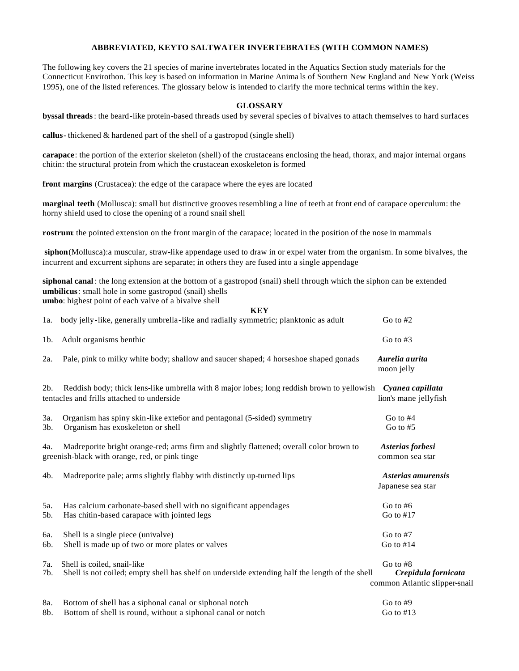## **ABBREVIATED, KEYTO SALTWATER INVERTEBRATES (WITH COMMON NAMES)**

The following key covers the 21 species of marine invertebrates located in the Aquatics Section study materials for the Connecticut Envirothon. This key is based on information in Marine Anima ls of Southern New England and New York (Weiss 1995), one of the listed references. The glossary below is intended to clarify the more technical terms within the key.

## **GLOSSARY**

**byssal threads**: the beard-like protein-based threads used by several species of bivalves to attach themselves to hard surfaces

**callus**- thickened & hardened part of the shell of a gastropod (single shell)

**carapace**: the portion of the exterior skeleton (shell) of the crustaceans enclosing the head, thorax, and major internal organs chitin: the structural protein from which the crustacean exoskeleton is formed

**front margins** (Crustacea): the edge of the carapace where the eyes are located

**marginal teeth** (Mollusca): small but distinctive grooves resembling a line of teeth at front end of carapace operculum: the horny shield used to close the opening of a round snail shell

**rostrum**: the pointed extension on the front margin of the carapace; located in the position of the nose in mammals

**siphon**(Mollusca):a muscular, straw-like appendage used to draw in or expel water from the organism. In some bivalves, the incurrent and excurrent siphons are separate; in others they are fused into a single appendage

**KEY**

**siphonal canal** : the long extension at the bottom of a gastropod (snail) shell through which the siphon can be extended **umbilicus**: small hole in some gastropod (snail) shells **umbo**: highest point of each valve of a bivalve shell

|                | KEY                                                                                                                                       |                                                                  |
|----------------|-------------------------------------------------------------------------------------------------------------------------------------------|------------------------------------------------------------------|
| 1a.            | body jelly-like, generally umbrella-like and radially symmetric; planktonic as adult                                                      | Go to $#2$                                                       |
| 1b.            | Adult organisms benthic                                                                                                                   | Go to $#3$                                                       |
| 2a.            | Pale, pink to milky white body; shallow and saucer shaped; 4 horseshoe shaped gonads                                                      | Aurelia aurita<br>moon jelly                                     |
| 2 <sub>b</sub> | Reddish body; thick lens-like umbrella with 8 major lobes; long reddish brown to yellowish<br>tentacles and frills attached to underside  | Cyanea capillata<br>lion's mane jellyfish                        |
| 3a.<br>3b.     | Organism has spiny skin-like exte6or and pentagonal (5-sided) symmetry<br>Organism has exoskeleton or shell                               | Go to $#4$<br>Go to $#5$                                         |
| 4a.            | Madreporite bright orange-red; arms firm and slightly flattened; overall color brown to<br>greenish-black with orange, red, or pink tinge | Asterias forbesi<br>common sea star                              |
| 4b.            | Madreporite pale; arms slightly flabby with distinctly up-turned lips                                                                     | Asterias amurensis<br>Japanese sea star                          |
| 5a.<br>5b.     | Has calcium carbonate-based shell with no significant appendages<br>Has chitin-based carapace with jointed legs                           | Go to $#6$<br>Go to $#17$                                        |
| 6a.<br>6b.     | Shell is a single piece (univalve)<br>Shell is made up of two or more plates or valves                                                    | Go to $#7$<br>Go to $#14$                                        |
| 7a.<br>7b.     | Shell is coiled, snail-like<br>Shell is not coiled; empty shell has shelf on underside extending half the length of the shell             | Go to #8<br>Crepidula fornicata<br>common Atlantic slipper-snail |
| 8a.<br>8b.     | Bottom of shell has a siphonal canal or siphonal notch<br>Bottom of shell is round, without a siphonal canal or notch                     | Go to $#9$<br>Go to $#13$                                        |